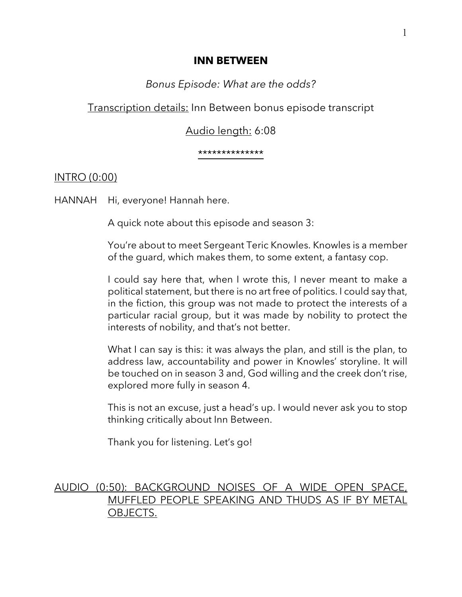## **INN BETWEEN**

# *Bonus Episode: What are the odds?*

Transcription details: Inn Between bonus episode transcript

# Audio length: 6:08

\*\*\*\*\*\*\*\*\*\*\*\*\*\*

## INTRO (0:00)

HANNAH Hi, everyone! Hannah here.

A quick note about this episode and season 3:

You're about to meet Sergeant Teric Knowles. Knowles is a member of the guard, which makes them, to some extent, a fantasy cop.

I could say here that, when I wrote this, I never meant to make a political statement, but there is no art free of politics. I could say that, in the fiction, this group was not made to protect the interests of a particular racial group, but it was made by nobility to protect the interests of nobility, and that's not better.

What I can say is this: it was always the plan, and still is the plan, to address law, accountability and power in Knowles' storyline. It will be touched on in season 3 and, God willing and the creek don't rise, explored more fully in season 4.

This is not an excuse, just a head's up. I would never ask you to stop thinking critically about Inn Between.

Thank you for listening. Let's go!

# AUDIO (0:50): BACKGROUND NOISES OF A WIDE OPEN SPACE, MUFFLED PEOPLE SPEAKING AND THUDS AS IF BY METAL OBJECTS.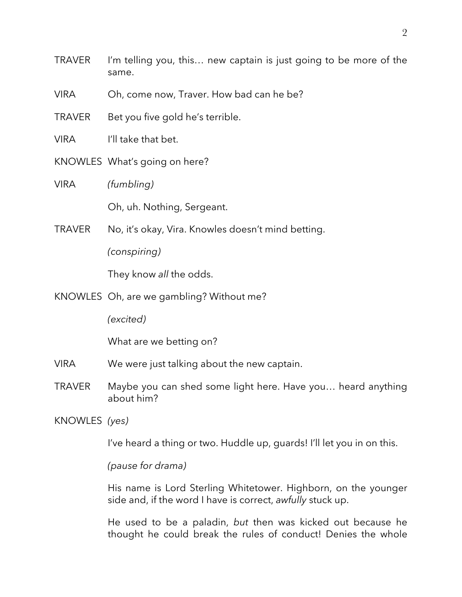- TRAVER I'm telling you, this… new captain is just going to be more of the same.
- VIRA Oh, come now, Traver. How bad can he be?
- TRAVER Bet you five gold he's terrible.
- VIRA I'll take that bet.
- KNOWLES What's going on here?
- VIRA *(fumbling)*

Oh, uh. Nothing, Sergeant.

TRAVER No, it's okay, Vira. Knowles doesn't mind betting.

*(conspiring)*

They know *all* the odds.

KNOWLES Oh, are we gambling? Without me?

*(excited)*

What are we betting on?

- VIRA We were just talking about the new captain.
- TRAVER Maybe you can shed some light here. Have you… heard anything about him?

KNOWLES *(yes)*

I've heard a thing or two. Huddle up, guards! I'll let you in on this.

*(pause for drama)*

His name is Lord Sterling Whitetower. Highborn, on the younger side and, if the word I have is correct, *awfully* stuck up.

He used to be a paladin, *but* then was kicked out because he thought he could break the rules of conduct! Denies the whole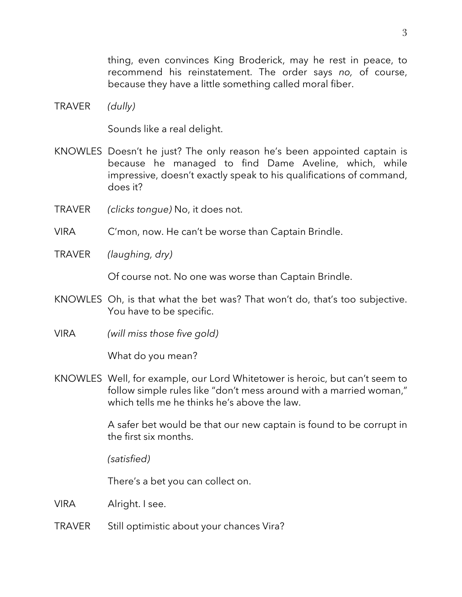thing, even convinces King Broderick, may he rest in peace, to recommend his reinstatement. The order says *no,* of course, because they have a little something called moral fiber.

TRAVER *(dully)*

Sounds like a real delight.

- KNOWLES Doesn't he just? The only reason he's been appointed captain is because he managed to find Dame Aveline, which, while impressive, doesn't exactly speak to his qualifications of command, does it?
- TRAVER *(clicks tongue)* No, it does not.
- VIRA C'mon, now. He can't be worse than Captain Brindle.
- TRAVER *(laughing, dry)*

Of course not. No one was worse than Captain Brindle.

- KNOWLES Oh, is that what the bet was? That won't do, that's too subjective. You have to be specific.
- VIRA *(will miss those five gold)*

What do you mean?

KNOWLES Well, for example, our Lord Whitetower is heroic, but can't seem to follow simple rules like "don't mess around with a married woman," which tells me he thinks he's above the law.

> A safer bet would be that our new captain is found to be corrupt in the first six months.

*(satisfied)* 

There's a bet you can collect on.

VIRA Alright. I see.

TRAVER Still optimistic about your chances Vira?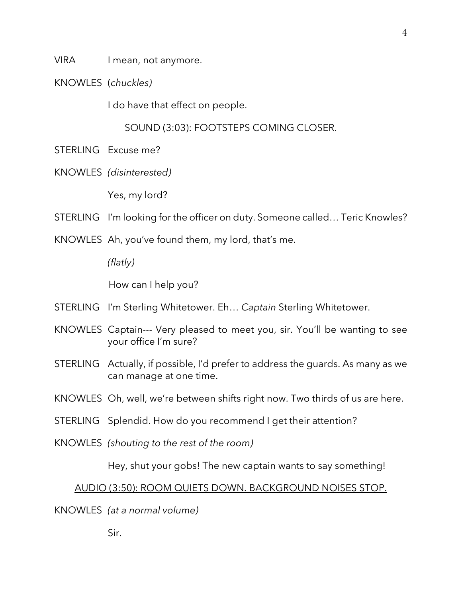VIRA I mean, not anymore.

KNOWLES (*chuckles)*

I do have that effect on people.

## SOUND (3:03): FOOTSTEPS COMING CLOSER.

- STERLING Excuse me?
- KNOWLES *(disinterested)*

Yes, my lord?

- STERLING I'm looking for the officer on duty. Someone called... Teric Knowles?
- KNOWLES Ah, you've found them, my lord, that's me.

*(flatly)* 

How can I help you?

- STERLING I'm Sterling Whitetower. Eh… *Captain* Sterling Whitetower.
- KNOWLES Captain--- Very pleased to meet you, sir. You'll be wanting to see your office I'm sure?
- STERLING Actually, if possible, I'd prefer to address the guards. As many as we can manage at one time.
- KNOWLES Oh, well, we're between shifts right now. Two thirds of us are here.
- STERLING Splendid. How do you recommend I get their attention?
- KNOWLES *(shouting to the rest of the room)*

Hey, shut your gobs! The new captain wants to say something!

#### AUDIO (3:50): ROOM QUIETS DOWN. BACKGROUND NOISES STOP.

## KNOWLES *(at a normal volume)*

Sir.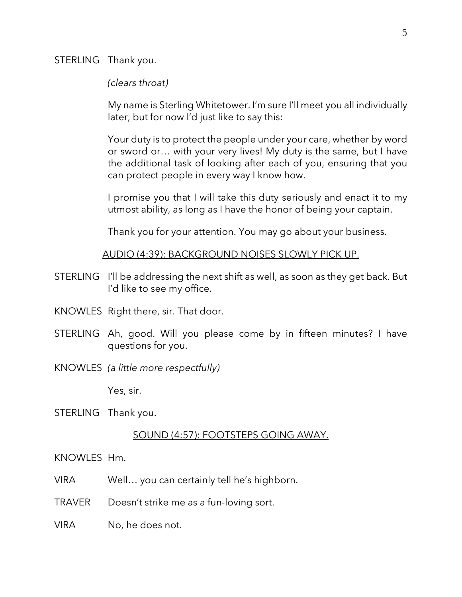STERLING Thank you.

#### *(clears throat)*

My name is Sterling Whitetower. I'm sure I'll meet you all individually later, but for now I'd just like to say this:

Your duty is to protect the people under your care, whether by word or sword or… with your very lives! My duty is the same, but I have the additional task of looking after each of you, ensuring that you can protect people in every way I know how.

I promise you that I will take this duty seriously and enact it to my utmost ability, as long as I have the honor of being your captain.

Thank you for your attention. You may go about your business.

AUDIO (4:39): BACKGROUND NOISES SLOWLY PICK UP.

- STERLING I'll be addressing the next shift as well, as soon as they get back. But I'd like to see my office.
- KNOWLES Right there, sir. That door.
- STERLING Ah, good. Will you please come by in fifteen minutes? I have questions for you.
- KNOWLES *(a little more respectfully)*

Yes, sir.

STERLING Thank you.

#### SOUND (4:57): FOOTSTEPS GOING AWAY.

KNOWLES Hm.

- VIRA Well… you can certainly tell he's highborn.
- TRAVER Doesn't strike me as a fun-loving sort.
- VIRA No, he does not.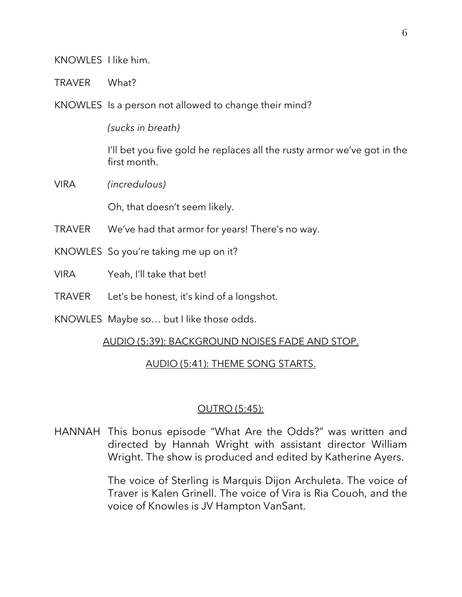KNOWLES I like him.

TRAVER What?

KNOWLES Is a person not allowed to change their mind?

*(sucks in breath)*

I'll bet you five gold he replaces all the rusty armor we've got in the first month.

VIRA *(incredulous)*

Oh, that doesn't seem likely.

- TRAVER We've had that armor for years! There's no way.
- KNOWLES So you're taking me up on it?
- VIRA Yeah, I'll take that bet!
- TRAVER Let's be honest, it's kind of a longshot.
- KNOWLES Maybe so… but I like those odds.

## AUDIO (5:39): BACKGROUND NOISES FADE AND STOP.

## AUDIO (5:41): THEME SONG STARTS.

## OUTRO (5:45):

HANNAH This bonus episode "What Are the Odds?" was written and directed by Hannah Wright with assistant director William Wright. The show is produced and edited by Katherine Ayers.

> The voice of Sterling is Marquis Dijon Archuleta. The voice of Traver is Kalen Grinell. The voice of Vira is Ria Couoh, and the voice of Knowles is JV Hampton VanSant.